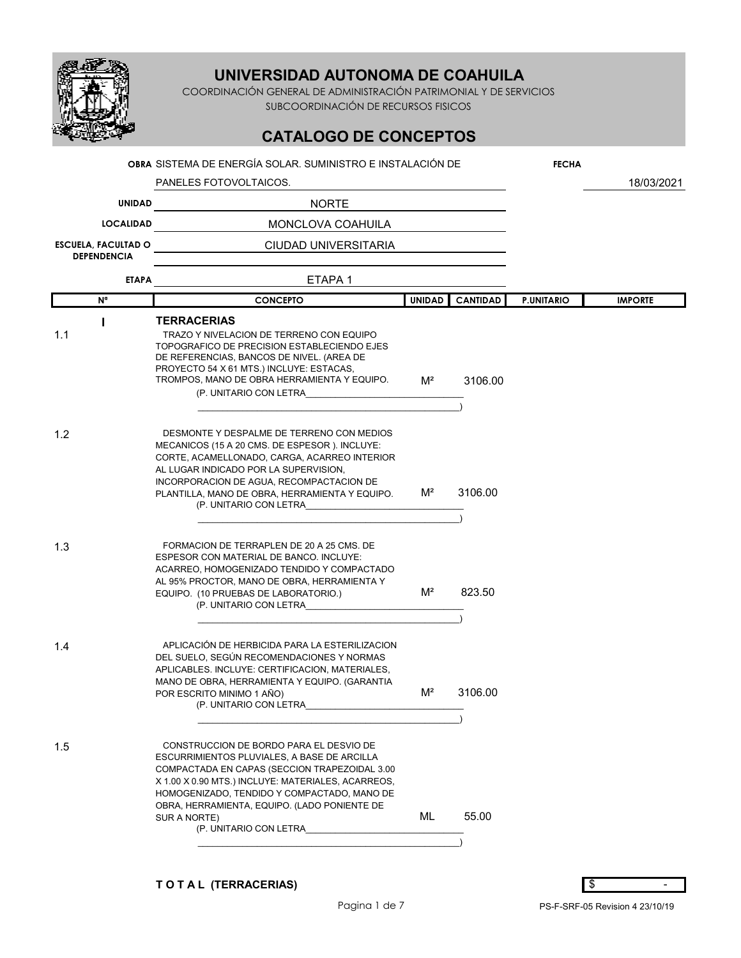

COORDINACIÓN GENERAL DE ADMINISTRACIÓN PATRIMONIAL Y DE SERVICIOS SUBCOORDINACIÓN DE RECURSOS FISICOS

# **CATALOGO DE CONCEPTOS**

|                                                  | OBRA SISTEMA DE ENERGÍA SOLAR. SUMINISTRO E INSTALACIÓN DE                                                                                                                                                                                                                                                                             |               |                 | <b>FECHA</b>      |                |
|--------------------------------------------------|----------------------------------------------------------------------------------------------------------------------------------------------------------------------------------------------------------------------------------------------------------------------------------------------------------------------------------------|---------------|-----------------|-------------------|----------------|
|                                                  | PANELES FOTOVOLTAICOS.                                                                                                                                                                                                                                                                                                                 |               |                 |                   | 18/03/2021     |
| <b>UNIDAD</b>                                    | <b>NORTE</b>                                                                                                                                                                                                                                                                                                                           |               |                 |                   |                |
| <b>LOCALIDAD</b>                                 | MONCLOVA COAHUILA                                                                                                                                                                                                                                                                                                                      |               |                 |                   |                |
| <b>ESCUELA, FACULTAD O</b><br><b>DEPENDENCIA</b> | CIUDAD UNIVERSITARIA                                                                                                                                                                                                                                                                                                                   |               |                 |                   |                |
| <b>ETAPA</b>                                     | ETAPA <sub>1</sub>                                                                                                                                                                                                                                                                                                                     |               |                 |                   |                |
| N <sup>a</sup>                                   | <b>CONCEPTO</b>                                                                                                                                                                                                                                                                                                                        | <b>UNIDAD</b> | <b>CANTIDAD</b> | <b>P.UNITARIO</b> | <b>IMPORTE</b> |
|                                                  | <b>TERRACERIAS</b>                                                                                                                                                                                                                                                                                                                     |               |                 |                   |                |
| 1.1                                              | TRAZO Y NIVELACION DE TERRENO CON EQUIPO<br>TOPOGRAFICO DE PRECISION ESTABLECIENDO EJES<br>DE REFERENCIAS, BANCOS DE NIVEL. (AREA DE<br>PROYECTO 54 X 61 MTS.) INCLUYE: ESTACAS,<br>TROMPOS, MANO DE OBRA HERRAMIENTA Y EQUIPO.<br>(P. UNITARIO CON LETRA                                                                              | $M^2$         | 3106.00         |                   |                |
| 1.2                                              | DESMONTE Y DESPALME DE TERRENO CON MEDIOS<br>MECANICOS (15 A 20 CMS. DE ESPESOR ). INCLUYE:<br>CORTE, ACAMELLONADO, CARGA, ACARREO INTERIOR<br>AL LUGAR INDICADO POR LA SUPERVISION,<br>INCORPORACION DE AGUA, RECOMPACTACION DE<br>PLANTILLA, MANO DE OBRA, HERRAMIENTA Y EQUIPO.<br>(P. UNITARIO CON LETRA                           | $M^2$         | 3106.00         |                   |                |
| 1.3                                              | FORMACION DE TERRAPLEN DE 20 A 25 CMS. DE<br>ESPESOR CON MATERIAL DE BANCO. INCLUYE:<br>ACARREO, HOMOGENIZADO TENDIDO Y COMPACTADO<br>AL 95% PROCTOR, MANO DE OBRA, HERRAMIENTA Y<br>EQUIPO. (10 PRUEBAS DE LABORATORIO.)<br>(P. UNITARIO CON LETRA                                                                                    | $M^2$         | 823.50          |                   |                |
| 1.4                                              | APLICACIÓN DE HERBICIDA PARA LA ESTERILIZACION<br>DEL SUELO, SEGÚN RECOMENDACIONES Y NORMAS<br>APLICABLES. INCLUYE: CERTIFICACION, MATERIALES,<br>MANO DE OBRA, HERRAMIENTA Y EQUIPO. (GARANTIA<br>POR ESCRITO MINIMO 1 AÑO)<br>(P. UNITARIO CON LETRA                                                                                 | $M^2$         | 3106.00         |                   |                |
| 1.5                                              | CONSTRUCCION DE BORDO PARA EL DESVIO DE<br>ESCURRIMIENTOS PLUVIALES, A BASE DE ARCILLA<br>COMPACTADA EN CAPAS (SECCION TRAPEZOIDAL 3.00<br>X 1.00 X 0.90 MTS.) INCLUYE: MATERIALES, ACARREOS,<br>HOMOGENIZADO, TENDIDO Y COMPACTADO, MANO DE<br>OBRA, HERRAMIENTA, EQUIPO. (LADO PONIENTE DE<br>SUR A NORTE)<br>(P. UNITARIO CON LETRA | ML            | 55.00           |                   |                |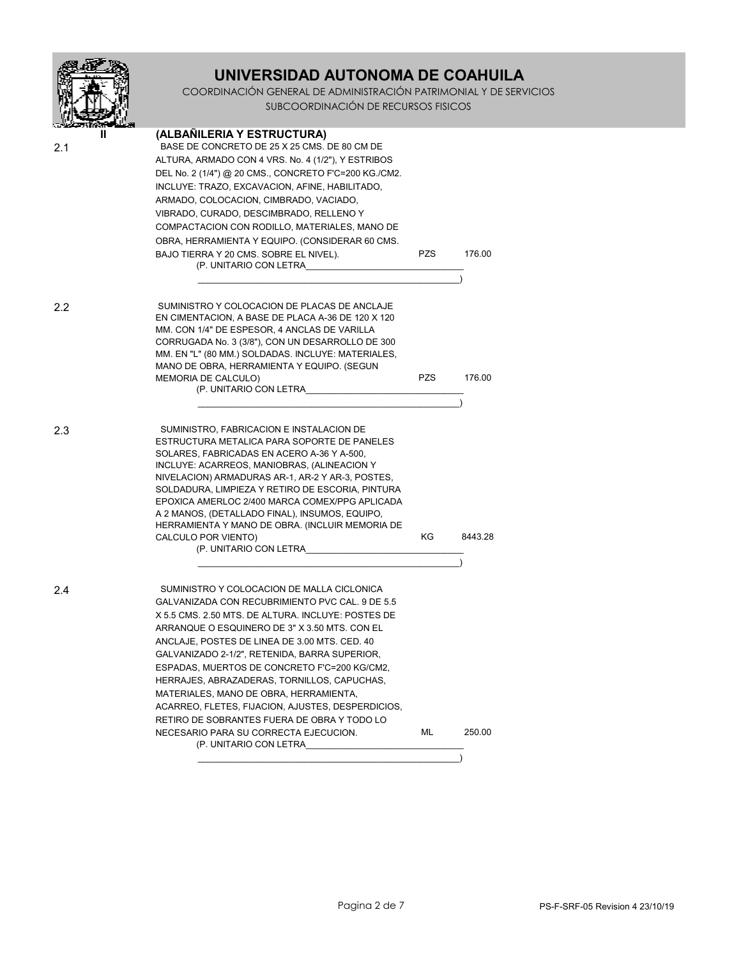|     | UNIVERSIDAD AUTONOMA DE COAHUILA<br>COORDINACIÓN GENERAL DE ADMINISTRACIÓN PATRIMONIAL Y DE SERVICIOS<br>SUBCOORDINACIÓN DE RECURSOS FISICOS                                                                                                                                                                                                                                                                                                                                                                                                                                                                           |      |         |  |  |
|-----|------------------------------------------------------------------------------------------------------------------------------------------------------------------------------------------------------------------------------------------------------------------------------------------------------------------------------------------------------------------------------------------------------------------------------------------------------------------------------------------------------------------------------------------------------------------------------------------------------------------------|------|---------|--|--|
| 2.1 | (ALBAÑILERIA Y ESTRUCTURA)<br>BASE DE CONCRETO DE 25 X 25 CMS. DE 80 CM DE<br>ALTURA, ARMADO CON 4 VRS. No. 4 (1/2"), Y ESTRIBOS<br>DEL No. 2 (1/4") @ 20 CMS., CONCRETO F'C=200 KG./CM2.<br>INCLUYE: TRAZO, EXCAVACION, AFINE, HABILITADO,<br>ARMADO, COLOCACION, CIMBRADO, VACIADO,<br>VIBRADO, CURADO, DESCIMBRADO, RELLENO Y<br>COMPACTACION CON RODILLO, MATERIALES, MANO DE<br>OBRA, HERRAMIENTA Y EQUIPO. (CONSIDERAR 60 CMS.<br>BAJO TIERRA Y 20 CMS. SOBRE EL NIVEL).<br>(P. UNITARIO CON LETRA                                                                                                               | PZS  | 176.00  |  |  |
| 2.2 | SUMINISTRO Y COLOCACION DE PLACAS DE ANCLAJE<br>EN CIMENTACION, A BASE DE PLACA A-36 DE 120 X 120<br>MM. CON 1/4" DE ESPESOR, 4 ANCLAS DE VARILLA<br>CORRUGADA No. 3 (3/8"), CON UN DESARROLLO DE 300<br>MM. EN "L" (80 MM.) SOLDADAS. INCLUYE: MATERIALES,<br>MANO DE OBRA, HERRAMIENTA Y EQUIPO. (SEGUN<br><b>MEMORIA DE CALCULO)</b><br>(P. UNITARIO CON LETRA                                                                                                                                                                                                                                                      | PZS. | 176.00  |  |  |
| 2.3 | SUMINISTRO, FABRICACION E INSTALACION DE<br>ESTRUCTURA METALICA PARA SOPORTE DE PANELES<br>SOLARES, FABRICADAS EN ACERO A-36 Y A-500,<br>INCLUYE: ACARREOS, MANIOBRAS, (ALINEACION Y<br>NIVELACION) ARMADURAS AR-1, AR-2 Y AR-3, POSTES,<br>SOLDADURA, LIMPIEZA Y RETIRO DE ESCORIA, PINTURA<br>EPOXICA AMERLOC 2/400 MARCA COMEX/PPG APLICADA<br>A 2 MANOS, (DETALLADO FINAL), INSUMOS, EQUIPO,<br>HERRAMIENTA Y MANO DE OBRA. (INCLUIR MEMORIA DE<br>CALCULO POR VIENTO)<br>(P. UNITARIO CON LETRA                                                                                                                   | ΚG   | 8443.28 |  |  |
| 2.4 | SUMINISTRO Y COLOCACION DE MALLA CICLONICA<br>GALVANIZADA CON RECUBRIMIENTO PVC CAL. 9 DE 5.5<br>X 5.5 CMS. 2.50 MTS. DE ALTURA. INCLUYE: POSTES DE<br>ARRANQUE O ESQUINERO DE 3" X 3.50 MTS. CON EL<br>ANCLAJE, POSTES DE LINEA DE 3.00 MTS. CED. 40<br>GALVANIZADO 2-1/2", RETENIDA, BARRA SUPERIOR,<br>ESPADAS, MUERTOS DE CONCRETO F'C=200 KG/CM2,<br>HERRAJES, ABRAZADERAS, TORNILLOS, CAPUCHAS,<br>MATERIALES, MANO DE OBRA, HERRAMIENTA,<br>ACARREO, FLETES, FIJACION, AJUSTES, DESPERDICIOS,<br>RETIRO DE SOBRANTES FUERA DE OBRA Y TODO LO<br>NECESARIO PARA SU CORRECTA EJECUCION.<br>(P. UNITARIO CON LETRA | ML   | 250.00  |  |  |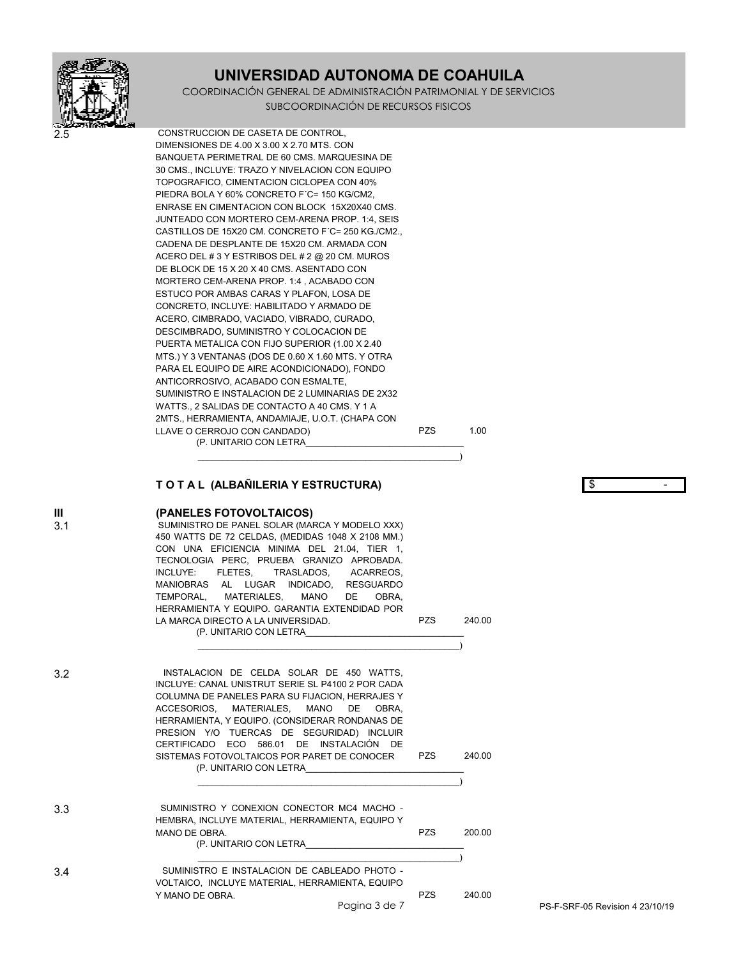COORDINACIÓN GENERAL DE ADMINISTRACIÓN PATRIMONIAL Y DE SERVICIOS SUBCOORDINACIÓN DE RECURSOS FISICOS



2.5 CONSTRUCCION DE CASETA DE CONTROL, DIMENSIONES DE 4.00 X 3.00 X 2.70 MTS. CON BANQUETA PERIMETRAL DE 60 CMS. MARQUESINA DE 30 CMS., INCLUYE: TRAZO Y NIVELACION CON EQUIPO TOPOGRAFICO, CIMENTACION CICLOPEA CON 40% PIEDRA BOLA Y 60% CONCRETO F´C= 150 KG/CM2, ENRASE EN CIMENTACION CON BLOCK 15X20X40 CMS. JUNTEADO CON MORTERO CEM-ARENA PROP. 1:4, SEIS CASTILLOS DE 15X20 CM. CONCRETO F´C= 250 KG./CM2., CADENA DE DESPLANTE DE 15X20 CM. ARMADA CON ACERO DEL # 3 Y ESTRIBOS DEL # 2 @ 20 CM. MUROS DE BLOCK DE 15 X 20 X 40 CMS. ASENTADO CON MORTERO CEM-ARENA PROP. 1:4 , ACABADO CON ESTUCO POR AMBAS CARAS Y PLAFON, LOSA DE CONCRETO, INCLUYE: HABILITADO Y ARMADO DE ACERO, CIMBRADO, VACIADO, VIBRADO, CURADO, DESCIMBRADO, SUMINISTRO Y COLOCACION DE PUERTA METALICA CON FIJO SUPERIOR (1.00 X 2.40 MTS.) Y 3 VENTANAS (DOS DE 0.60 X 1.60 MTS. Y OTRA PARA EL EQUIPO DE AIRE ACONDICIONADO), FONDO ANTICORROSIVO, ACABADO CON ESMALTE, SUMINISTRO E INSTALACION DE 2 LUMINARIAS DE 2X32 WATTS., 2 SALIDAS DE CONTACTO A 40 CMS. Y 1 A 2MTS., HERRAMIENTA, ANDAMIAJE, U.O.T. (CHAPA CON LLAVE O CERROJO CON CANDADO) PZS 1.00 (P. UNITARIO CON LETRA\_\_\_\_\_\_\_\_\_\_\_\_\_\_\_\_\_\_\_\_\_\_\_\_\_\_\_\_\_\_\_\_

### **T O T A L (ALBAÑILERIA Y ESTRUCTURA)** \$ -

 $\hspace{.5cm}$   $\hspace{.5cm}$   $\hspace{.5cm}$   $\hspace{.5cm}$   $\hspace{.5cm}$   $\hspace{.5cm}$ 

#### **III (PANELES FOTOVOLTAICOS)**

3.1 SUMINISTRO DE PANEL SOLAR (MARCA Y MODELO XXX) 450 WATTS DE 72 CELDAS, (MEDIDAS 1048 X 2108 MM.) CON UNA EFICIENCIA MINIMA DEL 21.04, TIER 1, TECNOLOGIA PERC, PRUEBA GRANIZO APROBADA. INCLUYE: FLETES, TRASLADOS, ACARREOS, MANIOBRAS AL LUGAR INDICADO, RESGUARDO TEMPORAL, MATERIALES, MANO DE OBRA, HERRAMIENTA Y EQUIPO. GARANTIA EXTENDIDAD POR LA MARCA DIRECTO A LA UNIVERSIDAD. PZS 240.00 (P. UNITARIO CON LETRA\_\_\_\_\_\_\_\_\_\_\_\_\_\_\_\_\_\_\_\_\_\_\_\_\_\_\_\_\_\_\_\_

 $\hspace{.5cm}$   $\hspace{.5cm}$   $\hspace{.5cm}$   $\hspace{.5cm}$   $\hspace{.5cm}$   $\hspace{.5cm}$ 3.2 INSTALACION DE CELDA SOLAR DE 450 WATTS, INCLUYE: CANAL UNISTRUT SERIE SL P4100 2 POR CADA COLUMNA DE PANELES PARA SU FIJACION, HERRAJES Y ACCESORIOS, MATERIALES, MANO DE OBRA, HERRAMIENTA, Y EQUIPO. (CONSIDERAR RONDANAS DE PRESION Y/O TUERCAS DE SEGURIDAD) INCLUIR CERTIFICADO ECO 586.01 DE INSTALACIÓN DE SISTEMAS FOTOVOLTAICOS POR PARET DE CONOCER PZS 240.00 (P. UNITARIO CON LETRA\_\_\_\_\_\_\_\_\_\_\_\_\_\_\_\_\_\_\_\_\_\_\_\_\_\_\_\_\_\_\_\_  $\overline{\phantom{a}}$ 3.3 SUMINISTRO Y CONEXION CONECTOR MC4 MACHO - HEMBRA, INCLUYE MATERIAL, HERRAMIENTA, EQUIPO Y MANO DE OBRA. PZS 200.00

 $\overline{\phantom{a}}$ 3.4 SUMINISTRO E INSTALACION DE CABLEADO PHOTO - VOLTAICO, INCLUYE MATERIAL, HERRAMIENTA, EQUIPO Y MANO DE OBRA. 240.00

(P. UNITARIO CON LETRA\_\_\_\_\_\_\_\_\_\_\_\_\_\_\_\_\_\_\_\_\_\_\_\_\_\_\_\_\_\_\_\_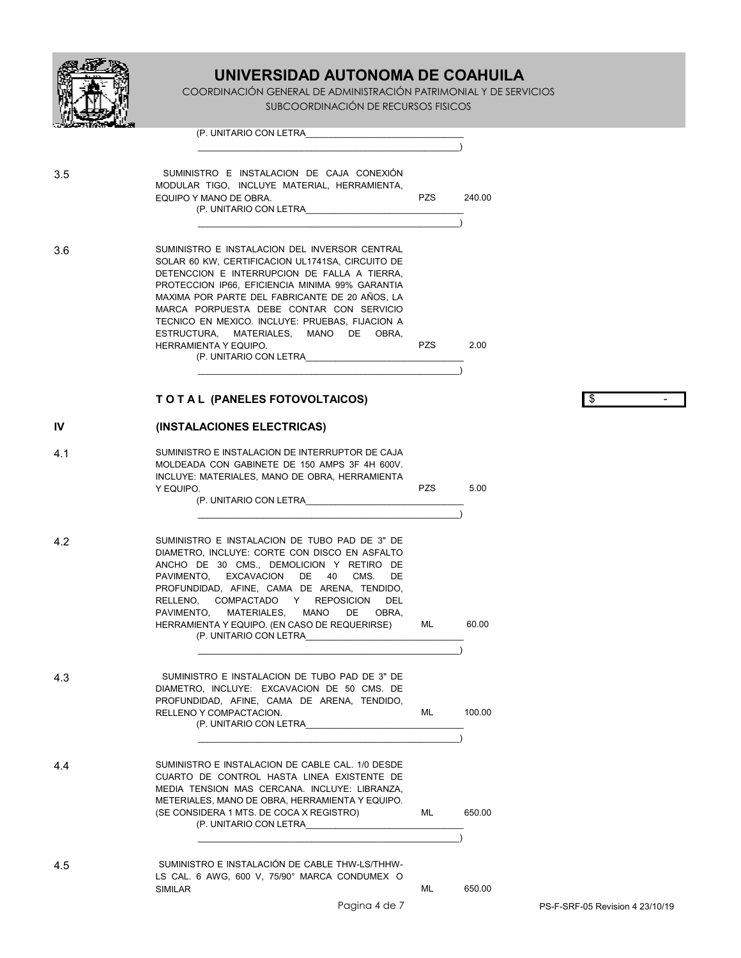

COORDINACIÓN GENERAL DE ADMINISTRACIÓN PATRIMONIAL Y DE SERVICIOS SUBCOORDINACIÓN DE RECURSOS FISICOS

|     | (P. UNITARIO CON LETRA                                                                                                                                                                                                                                                                                                                                                                                                                                   |            |        |                                 |
|-----|----------------------------------------------------------------------------------------------------------------------------------------------------------------------------------------------------------------------------------------------------------------------------------------------------------------------------------------------------------------------------------------------------------------------------------------------------------|------------|--------|---------------------------------|
| 3.5 | SUMINISTRO E INSTALACION DE CAJA CONEXIÓN<br>MODULAR TIGO, INCLUYE MATERIAL, HERRAMIENTA,<br>EQUIPO Y MANO DE OBRA.<br>(P. UNITARIO CON LETRA                                                                                                                                                                                                                                                                                                            | <b>PZS</b> | 240.00 |                                 |
| 3.6 | SUMINISTRO E INSTALACION DEL INVERSOR CENTRAL<br>SOLAR 60 KW, CERTIFICACION UL1741SA, CIRCUITO DE<br>DETENCCION E INTERRUPCION DE FALLA A TIERRA.<br>PROTECCION IP66, EFICIENCIA MINIMA 99% GARANTIA<br>MAXIMA POR PARTE DEL FABRICANTE DE 20 AÑOS, LA<br>MARCA PORPUESTA DEBE CONTAR CON SERVICIO<br>TECNICO EN MEXICO. INCLUYE: PRUEBAS, FIJACION A<br>ESTRUCTURA, MATERIALES, MANO<br>DE.<br>OBRA,<br>HERRAMIENTA Y EQUIPO.<br>(P. UNITARIO CON LETRA | PZS        | 2.00   |                                 |
|     | TO TAL (PANELES FOTOVOLTAICOS)                                                                                                                                                                                                                                                                                                                                                                                                                           |            |        | \$                              |
| IV  | (INSTALACIONES ELECTRICAS)                                                                                                                                                                                                                                                                                                                                                                                                                               |            |        |                                 |
| 4.1 | SUMINISTRO E INSTALACION DE INTERRUPTOR DE CAJA<br>MOLDEADA CON GABINETE DE 150 AMPS 3F 4H 600V.<br>INCLUYE: MATERIALES, MANO DE OBRA, HERRAMIENTA<br>Y EQUIPO.<br>(P. UNITARIO CON LETRA                                                                                                                                                                                                                                                                | <b>PZS</b> | 5.00   |                                 |
| 4.2 | SUMINISTRO E INSTALACION DE TUBO PAD DE 3" DE<br>DIAMETRO, INCLUYE: CORTE CON DISCO EN ASFALTO<br>ANCHO DE 30 CMS., DEMOLICION Y RETIRO DE<br>PAVIMENTO, EXCAVACION DE<br>40<br>CMS.<br>DE<br>PROFUNDIDAD, AFINE, CAMA DE ARENA, TENDIDO,<br>RELLENO, COMPACTADO Y REPOSICION<br>DEL<br>MANO<br>PAVIMENTO, MATERIALES,<br>DE<br>OBRA,<br>HERRAMIENTA Y EQUIPO. (EN CASO DE REQUERIRSE)<br>(P. UNITARIO CON LETRA                                         | ML.        | 60.00  |                                 |
| 4.3 | SUMINISTRO E INSTALACION DE TUBO PAD DE 3" DE<br>DIAMETRO, INCLUYE: EXCAVACION DE 50 CMS. DE<br>PROFUNDIDAD, AFINE, CAMA DE ARENA, TENDIDO,<br>RELLENO Y COMPACTACION.<br>(P. UNITARIO CON LETRA                                                                                                                                                                                                                                                         | ML         | 100.00 |                                 |
| 4.4 | SUMINISTRO E INSTALACION DE CABLE CAL. 1/0 DESDE<br>CUARTO DE CONTROL HASTA LINEA EXISTENTE DE<br>MEDIA TENSION MAS CERCANA. INCLUYE: LIBRANZA,<br>METERIALES, MANO DE OBRA, HERRAMIENTA Y EQUIPO.<br>(SE CONSIDERA 1 MTS. DE COCA X REGISTRO)<br>(P. UNITARIO CON LETRA                                                                                                                                                                                 | ML         | 650.00 |                                 |
| 4.5 | SUMINISTRO E INSTALACIÓN DE CABLE THW-LS/THHW-<br>LS CAL. 6 AWG, 600 V, 75/90° MARCA CONDUMEX O<br>SIMILAR<br>Pagina 4 de 7                                                                                                                                                                                                                                                                                                                              | ML         | 650.00 | PS-F-SRF-05 Revision 4 23/10/19 |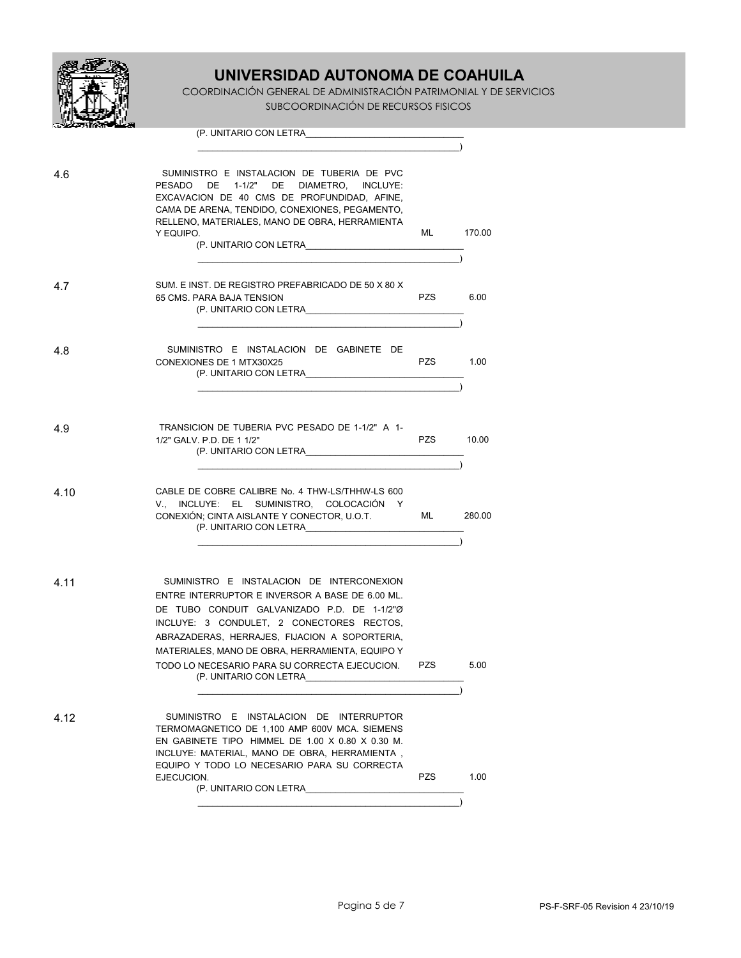

COORDINACIÓN GENERAL DE ADMINISTRACIÓN PATRIMONIAL Y DE SERVICIOS SUBCOORDINACIÓN DE RECURSOS FISICOS

| ായ്ക്കാന് <b>രണ്ടി</b> ക്കു |                                                                                                                                                                                                                                                                                                                                                                         |            |        |
|-----------------------------|-------------------------------------------------------------------------------------------------------------------------------------------------------------------------------------------------------------------------------------------------------------------------------------------------------------------------------------------------------------------------|------------|--------|
|                             | (P. UNITARIO CON LETRA                                                                                                                                                                                                                                                                                                                                                  |            |        |
|                             |                                                                                                                                                                                                                                                                                                                                                                         |            |        |
| 4.6                         | SUMINISTRO E INSTALACION DE TUBERIA DE PVC<br>PESADO DE 1-1/2" DE DIAMETRO, INCLUYE:<br>EXCAVACION DE 40 CMS DE PROFUNDIDAD, AFINE,<br>CAMA DE ARENA, TENDIDO, CONEXIONES, PEGAMENTO,<br>RELLENO, MATERIALES, MANO DE OBRA, HERRAMIENTA<br>Y EQUIPO.<br>(P. UNITARIO CON LETRA                                                                                          | ML         | 170.00 |
| 4.7                         | SUM. E INST. DE REGISTRO PREFABRICADO DE 50 X 80 X<br>65 CMS. PARA BAJA TENSION<br>(P. UNITARIO CON LETRA                                                                                                                                                                                                                                                               | PZS        | 6.00   |
| 4.8                         | SUMINISTRO E INSTALACION DE GABINETE DE<br>CONEXIONES DE 1 MTX30X25<br>(P. UNITARIO CON LETRA                                                                                                                                                                                                                                                                           | PZS        | 1.00   |
| 4.9                         | TRANSICION DE TUBERIA PVC PESADO DE 1-1/2" A 1-<br>1/2" GALV, P.D. DE 1 1/2"<br>(P. UNITARIO CON LETRA                                                                                                                                                                                                                                                                  | <b>PZS</b> | 10.00  |
| 4.10                        | CABLE DE COBRE CALIBRE No. 4 THW-LS/THHW-LS 600<br>V., INCLUYE: EL SUMINISTRO, COLOCACIÓN Y<br>CONEXIÓN; CINTA AISLANTE Y CONECTOR, U.O.T.<br>(P. UNITARIO CON LETRA                                                                                                                                                                                                    | ML         | 280.00 |
| 4.11                        | SUMINISTRO E INSTALACION DE INTERCONEXION<br>ENTRE INTERRUPTOR E INVERSOR A BASE DE 6.00 ML.<br>DE TUBO CONDUIT GALVANIZADO P.D. DE 1-1/2"Ø<br>INCLUYE: 3 CONDULET, 2 CONECTORES RECTOS,<br>ABRAZADERAS, HERRAJES, FIJACION A SOPORTERIA,<br>MATERIALES, MANO DE OBRA, HERRAMIENTA, EQUIPO Y<br>TODO LO NECESARIO PARA SU CORRECTA EJECUCION.<br>(P. UNITARIO CON LETRA | PZS        | 5.00   |
| 4.12                        | SUMINISTRO E INSTALACION DE INTERRUPTOR<br>TERMOMAGNETICO DE 1,100 AMP 600V MCA. SIEMENS<br>EN GABINETE TIPO HIMMEL DE 1.00 X 0.80 X 0.30 M.<br>INCLUYE: MATERIAL, MANO DE OBRA, HERRAMIENTA,<br>EQUIPO Y TODO LO NECESARIO PARA SU CORRECTA<br>EJECUCION.                                                                                                              | PZS        | 1.00   |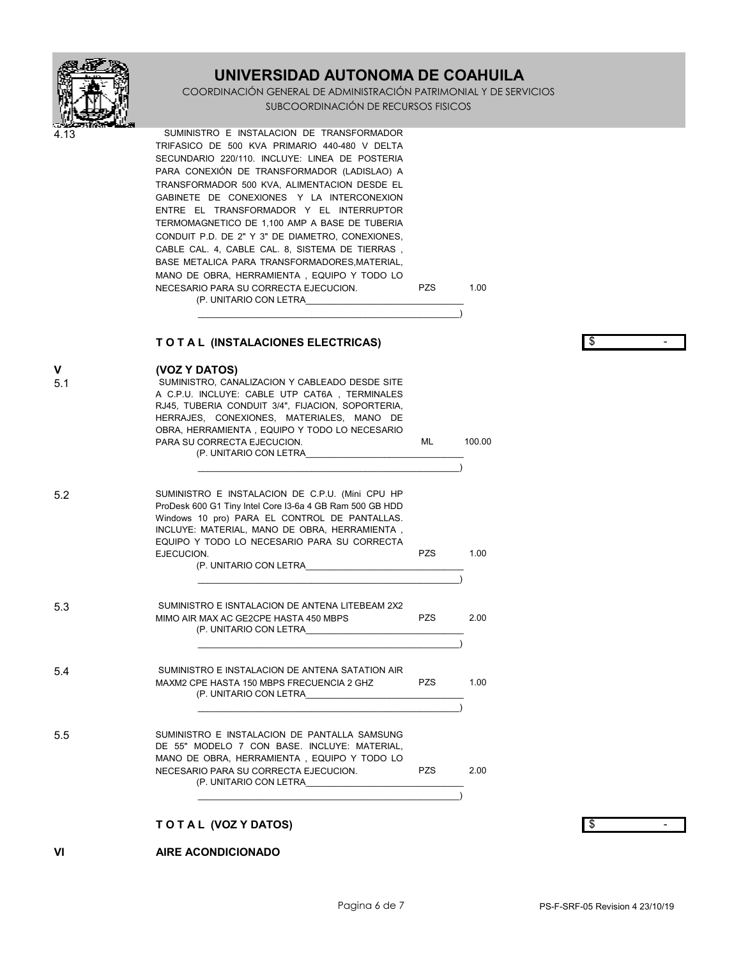

COORDINACIÓN GENERAL DE ADMINISTRACIÓN PATRIMONIAL Y DE SERVICIOS SUBCOORDINACIÓN DE RECURSOS FISICOS

SUMINISTRO E INSTALACION DE TRANSFORMADOR TRIFASICO DE 500 KVA PRIMARIO 440-480 V DELTA SECUNDARIO 220/110. INCLUYE: LINEA DE POSTERIA PARA CONEXIÓN DE TRANSFORMADOR (LADISLAO) A TRANSFORMADOR 500 KVA, ALIMENTACION DESDE EL GABINETE DE CONEXIONES Y LA INTERCONEXION ENTRE EL TRANSFORMADOR Y EL INTERRUPTOR TERMOMAGNETICO DE 1,100 AMP A BASE DE TUBERIA CONDUIT P.D. DE 2" Y 3" DE DIAMETRO, CONEXIONES, CABLE CAL. 4, CABLE CAL. 8, SISTEMA DE TIERRAS, BASE METALICA PARA TRANSFORMADORES, MATERIAL, MANO DE OBRA, HERRAMIENTA, EQUIPO Y TODO LO NECESARIO PARA SU CORRECTA EJECUCION.

1.00

**PZS** 

(P. UNITARIO CON LETRA

TO TAL (INSTALACIONES ELECTRICAS)

ها  $\mathbb{L}^2$ 

| $\mathsf{v}$<br>5.1 | (VOZ Y DATOS)<br>SUMINISTRO, CANALIZACION Y CABLEADO DESDE SITE<br>A C.P.U. INCLUYE: CABLE UTP CAT6A, TERMINALES<br>RJ45, TUBERIA CONDUIT 3/4", FIJACION, SOPORTERIA,<br>HERRAJES, CONEXIONES, MATERIALES, MANO DE<br>OBRA, HERRAMIENTA, EQUIPO Y TODO LO NECESARIO<br>PARA SU CORRECTA EJECUCION.<br>(P. UNITARIO CON LETRA | ML         | 100.00 |    |
|---------------------|------------------------------------------------------------------------------------------------------------------------------------------------------------------------------------------------------------------------------------------------------------------------------------------------------------------------------|------------|--------|----|
| 5.2                 | SUMINISTRO E INSTALACION DE C.P.U. (Mini CPU HP<br>ProDesk 600 G1 Tiny Intel Core I3-6a 4 GB Ram 500 GB HDD<br>Windows 10 pro) PARA EL CONTROL DE PANTALLAS.<br>INCLUYE: MATERIAL, MANO DE OBRA, HERRAMIENTA,<br>EQUIPO Y TODO LO NECESARIO PARA SU CORRECTA<br>EJECUCION.<br>(P. UNITARIO CON LETRA                         | <b>PZS</b> | 1.00   |    |
| 5.3                 | SUMINISTRO E ISNTALACION DE ANTENA LITEBEAM 2X2<br>MIMO AIR MAX AC GE2CPE HASTA 450 MBPS<br>(P. UNITARIO CON LETRA                                                                                                                                                                                                           | <b>PZS</b> | 2.00   |    |
| 5.4                 | SUMINISTRO E INSTALACION DE ANTENA SATATION AIR<br>MAXM2 CPE HASTA 150 MBPS FRECUENCIA 2 GHZ<br>(P. UNITARIO CON LETRA                                                                                                                                                                                                       | <b>PZS</b> | 1.00   |    |
| 5.5                 | SUMINISTRO E INSTALACION DE PANTALLA SAMSUNG<br>DE 55" MODELO 7 CON BASE. INCLUYE: MATERIAL,<br>MANO DE OBRA, HERRAMIENTA, EQUIPO Y TODO LO<br>NECESARIO PARA SU CORRECTA EJECUCION.<br>(P. UNITARIO CON LETRA                                                                                                               | <b>PZS</b> | 2.00   |    |
|                     | TOTAL (VOZ Y DATOS)                                                                                                                                                                                                                                                                                                          |            |        | \$ |
| VI                  | <b>AIRE ACONDICIONADO</b>                                                                                                                                                                                                                                                                                                    |            |        |    |

 $\overline{\phantom{a}}$